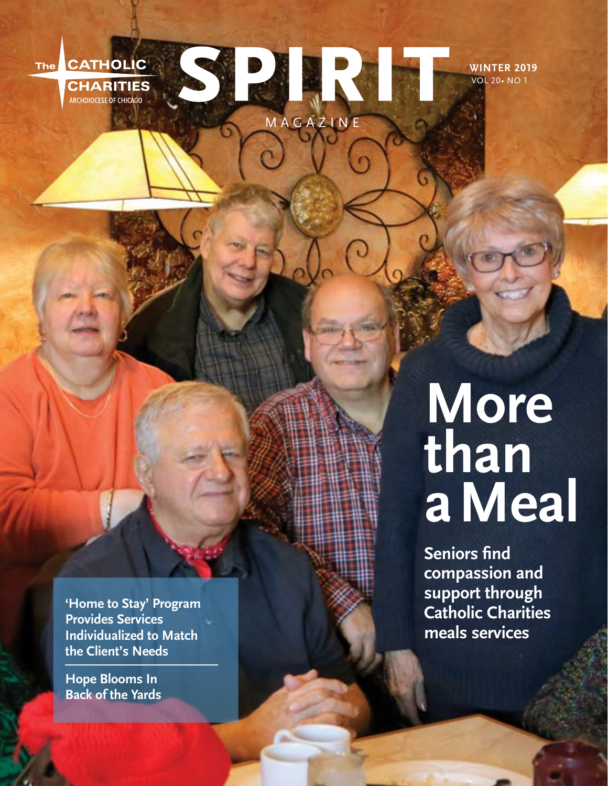

**WINTER 2019** VOL 20• NO 1

**'Home to Stay' Program Provides Services Individualized to Match the Client's Needs**

**Hope Blooms In Back of the Yards**

# **More than a Meal**

**Seniors find compassion and support through Catholic Charities meals services**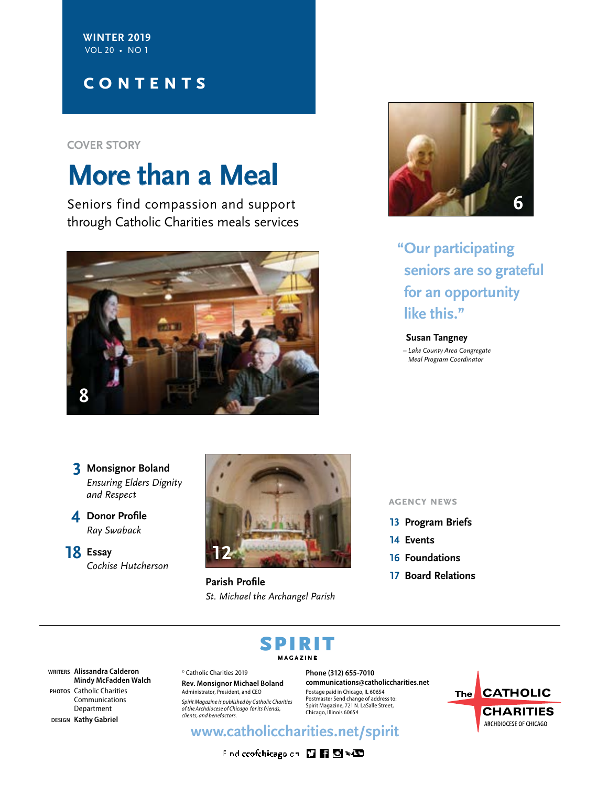**WINTER 2019** VOL 20 • NO 1

## **contents**

**COVER STORY**

# **More than a Meal**

Seniors find compassion and support through Catholic Charities meals services





**"Our participating seniors are so grateful for an opportunity like this."**

**Susan Tangney** *– Lake County Area Congregate Meal Program Coordinator*

**3 Monsignor Boland** *Ensuring Elders Dignity and Respect*

**4 Donor Profile** *Ray Swaback*

**18 Essay** *Cochise Hutcherson* 



**Parish Profile** *St. Michael the Archangel Parish*

### **agency news**

- **13 Program Briefs**
- **14 Events**
- **16 Foundations**
- **17 Board Relations**

# SPIRIT **MAGAZINE**

**WRITERS Alissandra Calderon Mindy McFadden Walch PHOTOS** Catholic Charities Communications Department

**DESIGN Kathy Gabriel**

© Catholic Charities 2019 **Rev. Monsignor Michael Boland** Administrator, President, and CEO

*Spirit Magazine is published by Catholic Charities of the Archdiocese of Chicago for its friends, clients, and benefactors.*

**Phone (312) 655-7010 communications@catholiccharities.net** Postage paid in Chicago, IL 60654 Postmaster Send change of address to: Spirit Magazine, 721 N. LaSalle Street, Chicago, Illinois 60654

# The CATHOLIC **CHARITIES** ARCHDIOCESE OF CHICAGO

**www.catholiccharities.net/spirit**

Find coofchicagoidn 四国图 NCD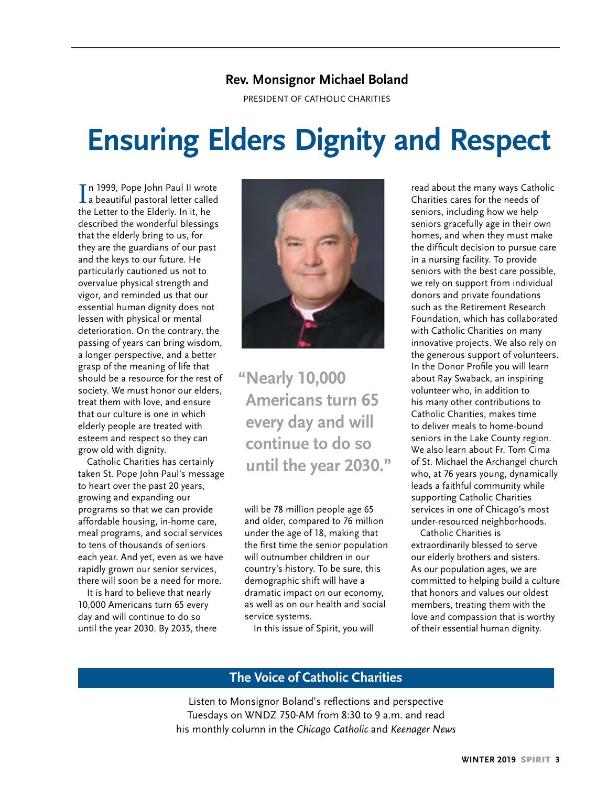## **Rev. Monsignor Michael Boland**

PRESIDENT OF CATHOLIC CHARITIES

# **Ensuring Elders Dignity and Respect**

In 1999, Pope John Paul II wrote<br>La beautiful pastoral letter called n 1999, Pope John Paul II wrote the Letter to the Elderly. In it, he described the wonderful blessings that the elderly bring to us, for they are the guardians of our past and the keys to our future. He particularly cautioned us not to overvalue physical strength and vigor, and reminded us that our essential human dignity does not lessen with physical or mental deterioration. On the contrary, the passing of years can bring wisdom, a longer perspective, and a better grasp of the meaning of life that should be a resource for the rest of society. We must honor our elders, treat them with love, and ensure that our culture is one in which elderly people are treated with esteem and respect so they can grow old with dignity.

Catholic Charities has certainly taken St. Pope John Paul's message to heart over the past 20 years, growing and expanding our programs so that we can provide affordable housing, in-home care, meal programs, and social services to tens of thousands of seniors each year. And yet, even as we have rapidly grown our senior services, there will soon be a need for more.

It is hard to believe that nearly 10,000 Americans turn 65 every day and will continue to do so until the year 2030. By 2035, there



**"Nearly 10,000 Americans turn 65 every day and will continue to do so until the year 2030."**

will be 78 million people age 65 and older, compared to 76 million under the age of 18, making that the first time the senior population will outnumber children in our country's history. To be sure, this demographic shift will have a dramatic impact on our economy, as well as on our health and social service systems.

In this issue of Spirit, you will

read about the many ways Catholic Charities cares for the needs of seniors, including how we help seniors gracefully age in their own homes, and when they must make the difficult decision to pursue care in a nursing facility. To provide seniors with the best care possible, we rely on support from individual donors and private foundations such as the Retirement Research Foundation, which has collaborated with Catholic Charities on many innovative projects. We also rely on the generous support of volunteers. In the Donor Profile you will learn about Ray Swaback, an inspiring volunteer who, in addition to his many other contributions to Catholic Charities, makes time to deliver meals to home-bound seniors in the Lake County region. We also learn about Fr. Tom Cima of St. Michael the Archangel church who, at 76 years young, dynamically leads a faithful community while supporting Catholic Charities services in one of Chicago's most under-resourced neighborhoods.

Catholic Charities is extraordinarily blessed to serve our elderly brothers and sisters. As our population ages, we are committed to helping build a culture that honors and values our oldest members, treating them with the love and compassion that is worthy of their essential human dignity.

## **The Voice of Catholic Charities**

Listen to Monsignor Boland's reflections and perspective Tuesdays on WNDZ 750-AM from 8:30 to 9 a.m. and read his monthly column in the *Chicago Catholic* and *Keenager News*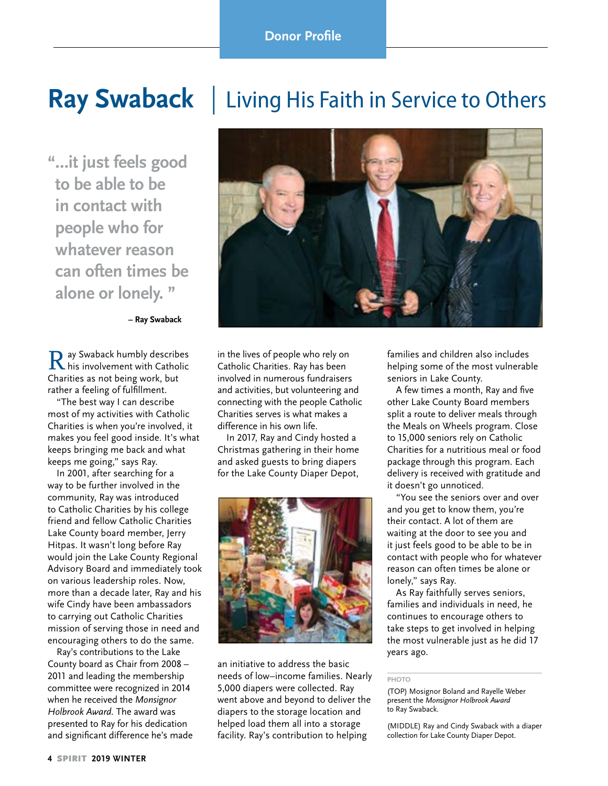**"…it just feels good to be able to be in contact with people who for whatever reason can often times be alone or lonely. "**

**– Ray Swaback**

Ray Swaback humbly describes his involvement with Catholic Charities as not being work, but rather a feeling of fulfillment.

"The best way I can describe most of my activities with Catholic Charities is when you're involved, it makes you feel good inside. It's what keeps bringing me back and what keeps me going," says Ray.

In 2001, after searching for a way to be further involved in the community, Ray was introduced to Catholic Charities by his college friend and fellow Catholic Charities Lake County board member, Jerry Hitpas. It wasn't long before Ray would join the Lake County Regional Advisory Board and immediately took on various leadership roles. Now, more than a decade later, Ray and his wife Cindy have been ambassadors to carrying out Catholic Charities mission of serving those in need and encouraging others to do the same.

Ray's contributions to the Lake County board as Chair from 2008 – 2011 and leading the membership committee were recognized in 2014 when he received the *Monsignor Holbrook Award.* The award was presented to Ray for his dedication and significant difference he's made





in the lives of people who rely on Catholic Charities. Ray has been involved in numerous fundraisers and activities, but volunteering and connecting with the people Catholic Charities serves is what makes a difference in his own life.

In 2017, Ray and Cindy hosted a Christmas gathering in their home and asked guests to bring diapers for the Lake County Diaper Depot,



an initiative to address the basic needs of low–income families. Nearly 5,000 diapers were collected. Ray went above and beyond to deliver the diapers to the storage location and helped load them all into a storage facility. Ray's contribution to helping

families and children also includes helping some of the most vulnerable seniors in Lake County.

A few times a month, Ray and five other Lake County Board members split a route to deliver meals through the Meals on Wheels program. Close to 15,000 seniors rely on Catholic Charities for a nutritious meal or food package through this program. Each delivery is received with gratitude and it doesn't go unnoticed.

"You see the seniors over and over and you get to know them, you're their contact. A lot of them are waiting at the door to see you and it just feels good to be able to be in contact with people who for whatever reason can often times be alone or lonely," says Ray.

As Ray faithfully serves seniors, families and individuals in need, he continues to encourage others to take steps to get involved in helping the most vulnerable just as he did 17 years ago.

#### **PHOTO**

(TOP) Mosignor Boland and Rayelle Weber present the *Monsignor Holbrook Award* to Ray Swaback.

(MIDDLE) Ray and Cindy Swaback with a diaper collection for Lake County Diaper Depot.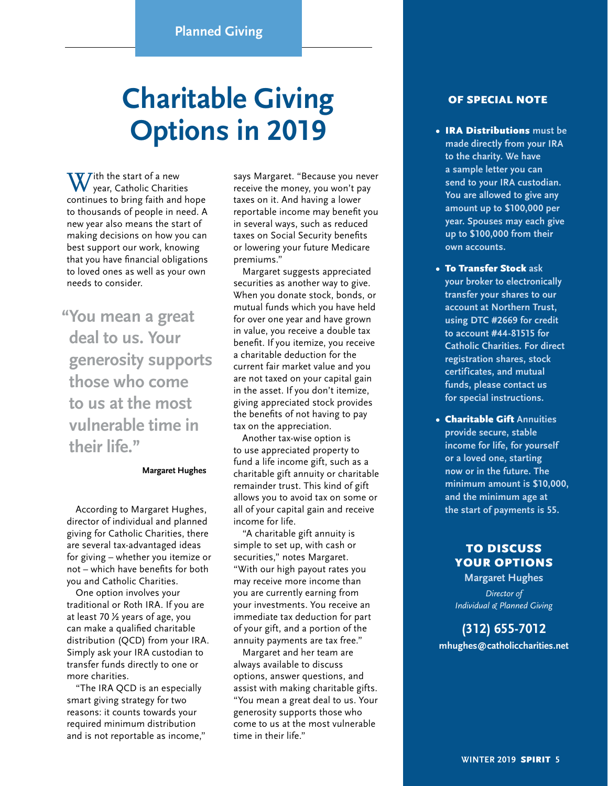# **Charitable Giving Options in 2019**

 $\mathbf{W}$  /ith the start of a new year, Catholic Charities continues to bring faith and hope to thousands of people in need. A new year also means the start of making decisions on how you can best support our work, knowing that you have financial obligations to loved ones as well as your own needs to consider.

**"You mean a great deal to us. Your generosity supports those who come to us at the most vulnerable time in their life."**

#### **Margaret Hughes**

According to Margaret Hughes, director of individual and planned giving for Catholic Charities, there are several tax-advantaged ideas for giving – whether you itemize or not – which have benefits for both you and Catholic Charities.

One option involves your traditional or Roth IRA. If you are at least 70 ½ years of age, you can make a qualified charitable distribution (QCD) from your IRA. Simply ask your IRA custodian to transfer funds directly to one or more charities.

"The IRA QCD is an especially smart giving strategy for two reasons: it counts towards your required minimum distribution and is not reportable as income," says Margaret. "Because you never receive the money, you won't pay taxes on it. And having a lower reportable income may benefit you in several ways, such as reduced taxes on Social Security benefits or lowering your future Medicare premiums."

Margaret suggests appreciated securities as another way to give. When you donate stock, bonds, or mutual funds which you have held for over one year and have grown in value, you receive a double tax benefit. If you itemize, you receive a charitable deduction for the current fair market value and you are not taxed on your capital gain in the asset. If you don't itemize, giving appreciated stock provides the benefits of not having to pay tax on the appreciation.

Another tax-wise option is to use appreciated property to fund a life income gift, such as a charitable gift annuity or charitable remainder trust. This kind of gift allows you to avoid tax on some or all of your capital gain and receive income for life.

"A charitable gift annuity is simple to set up, with cash or securities," notes Margaret. "With our high payout rates you may receive more income than you are currently earning from your investments. You receive an immediate tax deduction for part of your gift, and a portion of the annuity payments are tax free."

Margaret and her team are always available to discuss options, answer questions, and assist with making charitable gifts. "You mean a great deal to us. Your generosity supports those who come to us at the most vulnerable time in their life."

### OF SPECIAL NOTE

- IRA Distributions **must be made directly from your IRA to the charity. We have a sample letter you can send to your IRA custodian. You are allowed to give any amount up to \$100,000 per year. Spouses may each give up to \$100,000 from their own accounts.**
- To Transfer Stock **ask your broker to electronically transfer your shares to our account at Northern Trust, using DTC #2669 for credit to account #44-81515 for Catholic Charities. For direct registration shares, stock certificates, and mutual funds, please contact us for special instructions.**
- Charitable Gift **Annuities provide secure, stable income for life, for yourself or a loved one, starting now or in the future. The minimum amount is \$10,000, and the minimum age at the start of payments is 55.**

### TO DISCUSS YOUR OPTIONS

**Margaret Hughes** *Director of Individual & Planned Giving*

# **(312) 655-7012**

**mhughes@catholiccharities.net**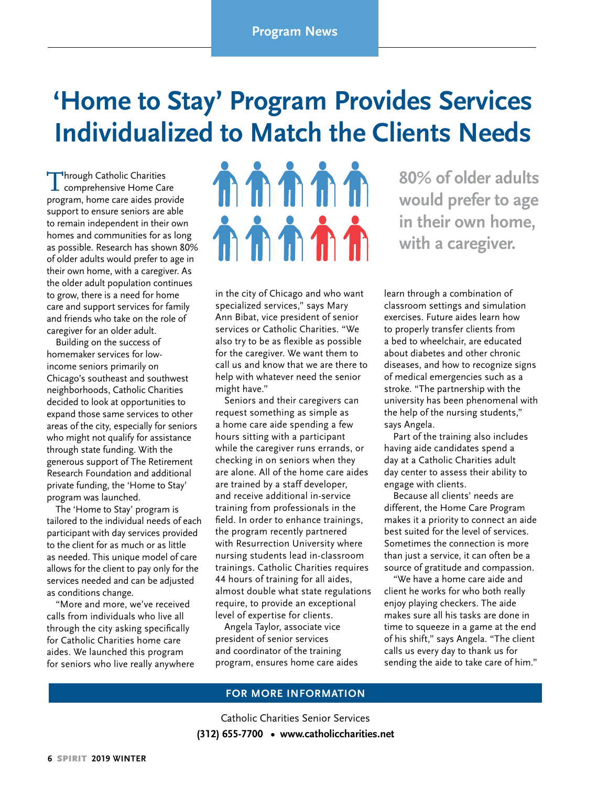# **'Home to Stay' Program Provides Services Individualized to Match the Clients Needs**

Through Catholic Charities comprehensive Home Care program, home care aides provide support to ensure seniors are able to remain independent in their own homes and communities for as long as possible. Research has shown 80% of older adults would prefer to age in their own home, with a caregiver. As the older adult population continues to grow, there is a need for home care and support services for family and friends who take on the role of caregiver for an older adult.

Building on the success of homemaker services for lowincome seniors primarily on Chicago's southeast and southwest neighborhoods, Catholic Charities decided to look at opportunities to expand those same services to other areas of the city, especially for seniors who might not qualify for assistance through state funding. With the generous support of The Retirement Research Foundation and additional private funding, the 'Home to Stay' program was launched.

The 'Home to Stay' program is tailored to the individual needs of each participant with day services provided to the client for as much or as little as needed. This unique model of care allows for the client to pay only for the services needed and can be adjusted as conditions change.

"More and more, we've received calls from individuals who live all through the city asking specifically for Catholic Charities home care aides. We launched this program for seniors who live really anywhere



in the city of Chicago and who want specialized services," says Mary Ann Bibat, vice president of senior services or Catholic Charities. "We also try to be as flexible as possible for the caregiver. We want them to call us and know that we are there to help with whatever need the senior might have."

Seniors and their caregivers can request something as simple as a home care aide spending a few hours sitting with a participant while the caregiver runs errands, or checking in on seniors when they are alone. All of the home care aides are trained by a staff developer, and receive additional in-service training from professionals in the field. In order to enhance trainings, the program recently partnered with Resurrection University where nursing students lead in-classroom trainings. Catholic Charities requires 44 hours of training for all aides, almost double what state regulations require, to provide an exceptional level of expertise for clients.

Angela Taylor, associate vice president of senior services and coordinator of the training program, ensures home care aides

**80% of older adults would prefer to age in their own home, with a caregiver.** 

learn through a combination of classroom settings and simulation exercises. Future aides learn how to properly transfer clients from a bed to wheelchair, are educated about diabetes and other chronic diseases, and how to recognize signs of medical emergencies such as a stroke. "The partnership with the university has been phenomenal with the help of the nursing students," says Angela.

Part of the training also includes having aide candidates spend a day at a Catholic Charities adult day center to assess their ability to engage with clients.

Because all clients' needs are different, the Home Care Program makes it a priority to connect an aide best suited for the level of services. Sometimes the connection is more than just a service, it can often be a source of gratitude and compassion.

"We have a home care aide and client he works for who both really enjoy playing checkers. The aide makes sure all his tasks are done in time to squeeze in a game at the end of his shift," says Angela. "The client calls us every day to thank us for sending the aide to take care of him."

### **FOR MORE INFORMATION**

Catholic Charities Senior Services **(312) 655-7700 • www.catholiccharities.net**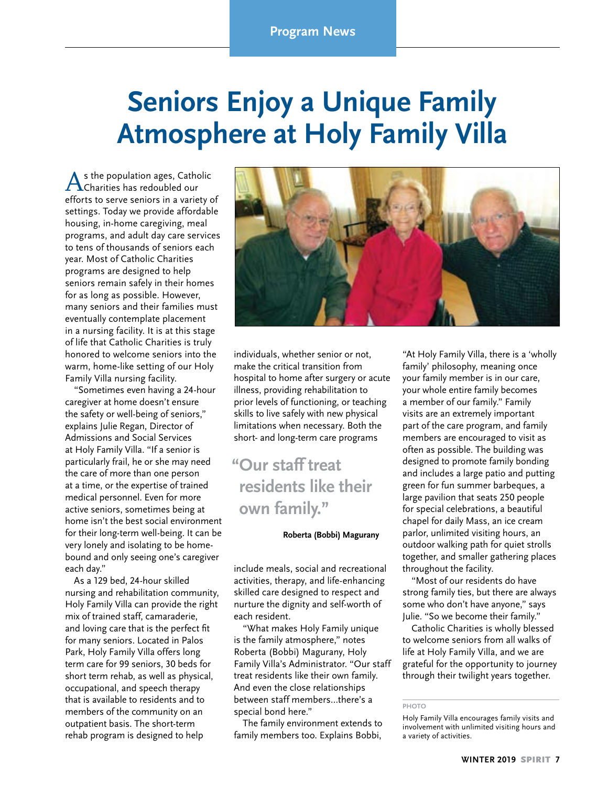# **Seniors Enjoy a Unique Family Atmosphere at Holy Family Villa**

As the population ages, Catholic<br>Charities has redoubled our efforts to serve seniors in a variety of settings. Today we provide affordable housing, in-home caregiving, meal programs, and adult day care services to tens of thousands of seniors each year. Most of Catholic Charities programs are designed to help seniors remain safely in their homes for as long as possible. However, many seniors and their families must eventually contemplate placement in a nursing facility. It is at this stage of life that Catholic Charities is truly honored to welcome seniors into the warm, home-like setting of our Holy Family Villa nursing facility.

"Sometimes even having a 24-hour caregiver at home doesn't ensure the safety or well-being of seniors," explains Julie Regan, Director of Admissions and Social Services at Holy Family Villa. "If a senior is particularly frail, he or she may need the care of more than one person at a time, or the expertise of trained medical personnel. Even for more active seniors, sometimes being at home isn't the best social environment for their long-term well-being. It can be very lonely and isolating to be homebound and only seeing one's caregiver each day."

As a 129 bed, 24-hour skilled nursing and rehabilitation community, Holy Family Villa can provide the right mix of trained staff, camaraderie, and loving care that is the perfect fit for many seniors. Located in Palos Park, Holy Family Villa offers long term care for 99 seniors, 30 beds for short term rehab, as well as physical, occupational, and speech therapy that is available to residents and to members of the community on an outpatient basis. The short-term rehab program is designed to help



individuals, whether senior or not, make the critical transition from hospital to home after surgery or acute illness, providing rehabilitation to prior levels of functioning, or teaching skills to live safely with new physical limitations when necessary. Both the short- and long-term care programs

# **"Our staff treat residents like their own family."**

#### **Roberta (Bobbi) Magurany**

include meals, social and recreational activities, therapy, and life-enhancing skilled care designed to respect and nurture the dignity and self-worth of each resident.

"What makes Holy Family unique is the family atmosphere," notes Roberta (Bobbi) Magurany, Holy Family Villa's Administrator. "Our staff treat residents like their own family. And even the close relationships between staff members…there's a special bond here."

The family environment extends to family members too. Explains Bobbi, "At Holy Family Villa, there is a 'wholly family' philosophy, meaning once your family member is in our care, your whole entire family becomes a member of our family." Family visits are an extremely important part of the care program, and family members are encouraged to visit as often as possible. The building was designed to promote family bonding and includes a large patio and putting green for fun summer barbeques, a large pavilion that seats 250 people for special celebrations, a beautiful chapel for daily Mass, an ice cream parlor, unlimited visiting hours, an outdoor walking path for quiet strolls together, and smaller gathering places throughout the facility.

"Most of our residents do have strong family ties, but there are always some who don't have anyone," says Julie. "So we become their family."

Catholic Charities is wholly blessed to welcome seniors from all walks of life at Holy Family Villa, and we are grateful for the opportunity to journey through their twilight years together.

**PHOTO**

Holy Family Villa encourages family visits and involvement with unlimited visiting hours and a variety of activities.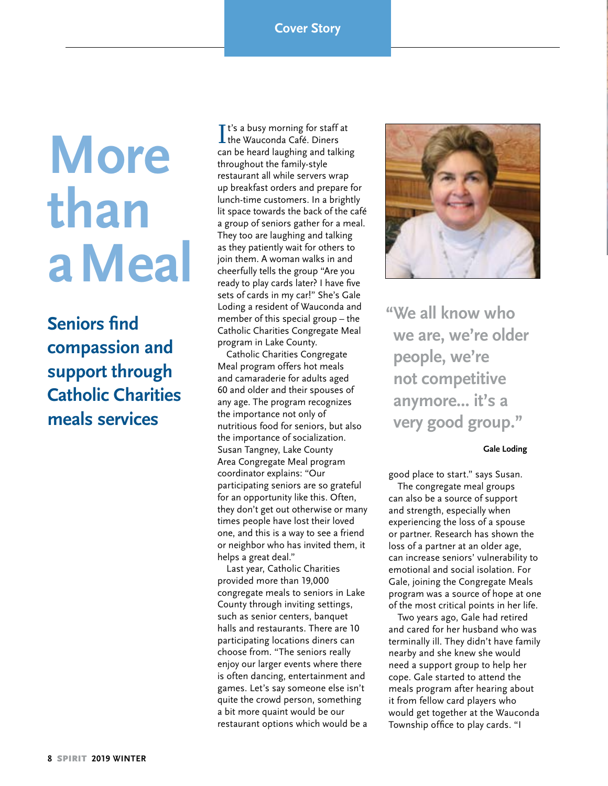# **More than a Meal**

**Seniors find compassion and support through Catholic Charities meals services**

It's a busy morning for staff at<br>the Wauconda Café. Diners the Wauconda Café. Diners can be heard laughing and talking throughout the family-style restaurant all while servers wrap up breakfast orders and prepare for lunch-time customers. In a brightly lit space towards the back of the café a group of seniors gather for a meal. They too are laughing and talking as they patiently wait for others to join them. A woman walks in and cheerfully tells the group "Are you ready to play cards later? I have five sets of cards in my car!" She's Gale Loding a resident of Wauconda and member of this special group – the Catholic Charities Congregate Meal program in Lake County.

Catholic Charities Congregate Meal program offers hot meals and camaraderie for adults aged 60 and older and their spouses of any age. The program recognizes the importance not only of nutritious food for seniors, but also the importance of socialization. Susan Tangney, Lake County Area Congregate Meal program coordinator explains: "Our participating seniors are so grateful for an opportunity like this. Often, they don't get out otherwise or many times people have lost their loved one, and this is a way to see a friend or neighbor who has invited them, it helps a great deal."

Last year, Catholic Charities provided more than 19,000 congregate meals to seniors in Lake County through inviting settings, such as senior centers, banquet halls and restaurants. There are 10 participating locations diners can choose from. "The seniors really enjoy our larger events where there is often dancing, entertainment and games. Let's say someone else isn't quite the crowd person, something a bit more quaint would be our restaurant options which would be a



**"We all know who we are, we're older people, we're not competitive anymore... it's a very good group."**

### **Gale Loding**

good place to start." says Susan. The congregate meal groups can also be a source of support and strength, especially when experiencing the loss of a spouse or partner. Research has shown the loss of a partner at an older age, can increase seniors' vulnerability to emotional and social isolation. For Gale, joining the Congregate Meals program was a source of hope at one of the most critical points in her life.

Two years ago, Gale had retired and cared for her husband who was terminally ill. They didn't have family nearby and she knew she would need a support group to help her cope. Gale started to attend the meals program after hearing about it from fellow card players who would get together at the Wauconda Township office to play cards. "I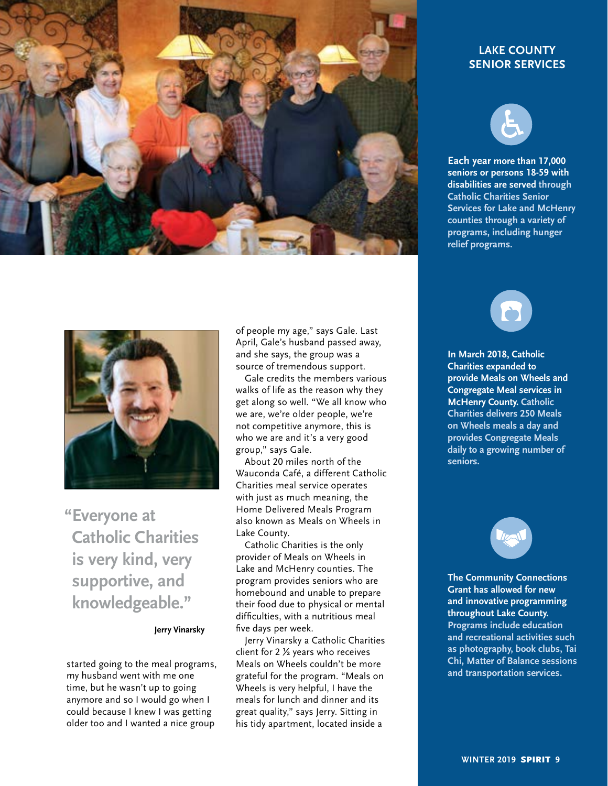

### **LAKE COUNTY SENIOR SERVICES**



**Each year more than 17,000 seniors or persons 18-59 with disabilities are served through Catholic Charities Senior Services for Lake and McHenry counties through a variety of programs, including hunger relief programs.**



**"Everyone at Catholic Charities is very kind, very supportive, and knowledgeable."**

#### **Jerry Vinarsky**

started going to the meal programs, my husband went with me one time, but he wasn't up to going anymore and so I would go when I could because I knew I was getting older too and I wanted a nice group

of people my age," says Gale. Last April, Gale's husband passed away, and she says, the group was a source of tremendous support.

Gale credits the members various walks of life as the reason why they get along so well. "We all know who we are, we're older people, we're not competitive anymore, this is who we are and it's a very good group," says Gale.

About 20 miles north of the Wauconda Café, a different Catholic Charities meal service operates with just as much meaning, the Home Delivered Meals Program also known as Meals on Wheels in Lake County.

Catholic Charities is the only provider of Meals on Wheels in Lake and McHenry counties. The program provides seniors who are homebound and unable to prepare their food due to physical or mental difficulties, with a nutritious meal five days per week.

Jerry Vinarsky a Catholic Charities client for 2 ½ years who receives Meals on Wheels couldn't be more grateful for the program. "Meals on Wheels is very helpful, I have the meals for lunch and dinner and its great quality," says Jerry. Sitting in his tidy apartment, located inside a



**In March 2018, Catholic Charities expanded to provide Meals on Wheels and Congregate Meal services in McHenry County. Catholic Charities delivers 250 Meals on Wheels meals a day and provides Congregate Meals daily to a growing number of seniors.** 



**The Community Connections Grant has allowed for new and innovative programming throughout Lake County. Programs include education and recreational activities such as photography, book clubs, Tai Chi, Matter of Balance sessions and transportation services.**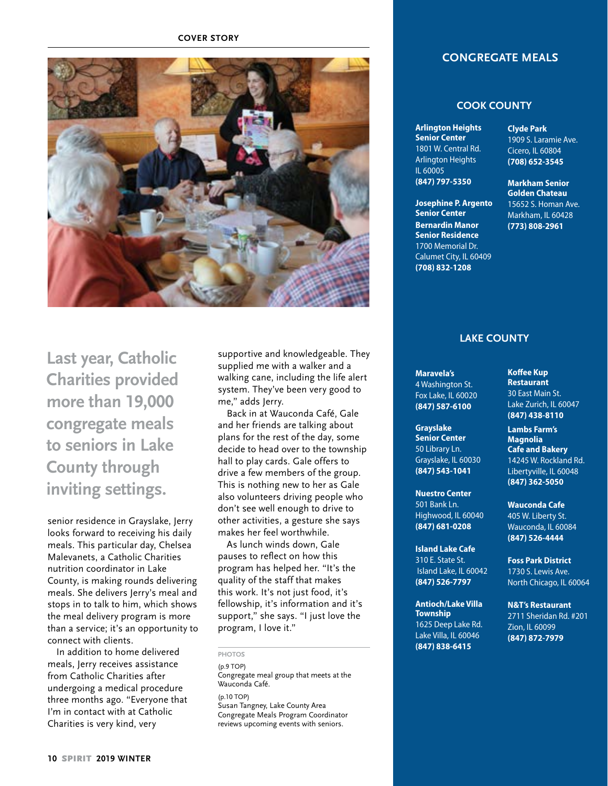**COVER STORY**



**Last year, Catholic Charities provided more than 19,000 congregate meals to seniors in Lake County through inviting settings.**

senior residence in Grayslake, Jerry looks forward to receiving his daily meals. This particular day, Chelsea Malevanets, a Catholic Charities nutrition coordinator in Lake County, is making rounds delivering meals. She delivers Jerry's meal and stops in to talk to him, which shows the meal delivery program is more than a service; it's an opportunity to connect with clients.

In addition to home delivered meals, Jerry receives assistance from Catholic Charities after undergoing a medical procedure three months ago. "Everyone that I'm in contact with at Catholic Charities is very kind, very

supportive and knowledgeable. They supplied me with a walker and a walking cane, including the life alert system. They've been very good to me," adds Jerry.

Back in at Wauconda Café, Gale and her friends are talking about plans for the rest of the day, some decide to head over to the township hall to play cards. Gale offers to drive a few members of the group. This is nothing new to her as Gale also volunteers driving people who don't see well enough to drive to other activities, a gesture she says makes her feel worthwhile.

As lunch winds down, Gale pauses to reflect on how this program has helped her. "It's the quality of the staff that makes this work. It's not just food, it's fellowship, it's information and it's support," she says. "I just love the program, I love it."

**PHOTOS**

(p.9 TOP) Congregate meal group that meets at the

Wauconda Café. (p.10 TOP)

Susan Tangney, Lake County Area Congregate Meals Program Coordinator reviews upcoming events with seniors.

### **CONGREGATE MEALS**

### **COOK COUNTY**

**Arlington Heights Senior Center** 1801 W. Central Rd. Arlington Heights IL 60005 **(847) 797-5350**

**Josephine P. Argento Senior Center Bernardin Manor Senior Residence** 1700 Memorial Dr. Calumet City, IL 60409 **(708) 832-1208**

**Clyde Park** 1909 S. Laramie Ave. Cicero, IL 60804 **(708) 652-3545**

**Markham Senior Golden Chateau** 15652 S. Homan Ave. Markham, IL 60428 **(773) 808-2961**

### **LAKE COUNTY**

**Maravela's** 4 Washington St. Fox Lake, IL 60020 **(847) 587-6100**

**Grayslake Senior Center**  50 Library Ln. Grayslake, IL 60030 **(847) 543-1041**

**Nuestro Center** 501 Bank Ln. Highwood, IL 60040 **(847) 681-0208**

**Island Lake Cafe** 310 E. State St. Island Lake, IL 60042 **(847) 526-7797**

**Antioch/Lake Villa Township** 1625 Deep Lake Rd. Lake Villa, IL 60046 **(847) 838-6415**

**Koffee Kup Restaurant** 30 East Main St. Lake Zurich, IL 60047 **(847) 438-8110**

**Lambs Farm's Magnolia Cafe and Bakery** 14245 W. Rockland Rd. Libertyville, IL 60048 **(847) 362-5050**

**Wauconda Cafe** 405 W. Liberty St. Wauconda, IL 60084 **(847) 526-4444**

**Foss Park District** 1730 S. Lewis Ave. North Chicago, IL 60064

**N&T's Restaurant**  2711 Sheridan Rd. #201 Zion, IL 60099 **(847) 872-7979**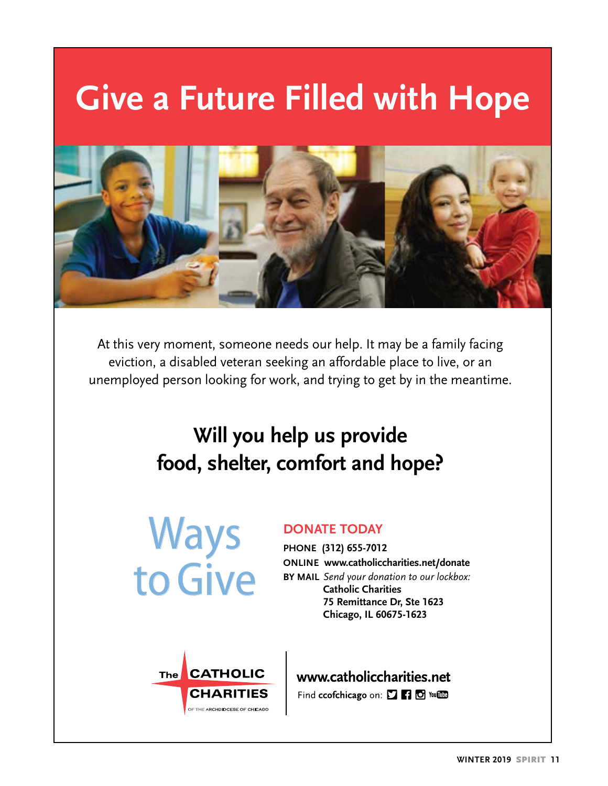# **Give a Future Filled with Hope**



At this very moment, someone needs our help. It may be a family facing eviction, a disabled veteran seeking an affordable place to live, or an unemployed person looking for work, and trying to get by in the meantime.

# **Will you help us provide food, shelter, comfort and hope?**



## **DONATE TODAY**

**PHONE (312) 655-7012 ONLINE www.catholiccharities.net/donate BY MAIL** *Send your donation to our lockbox:* **Catholic Charities 75 Remittance Dr, Ste 1623 Chicago, IL 60675-1623**



www.catholiccharities.net Find ccofchicago on: [ [ ] [ ] [ ] You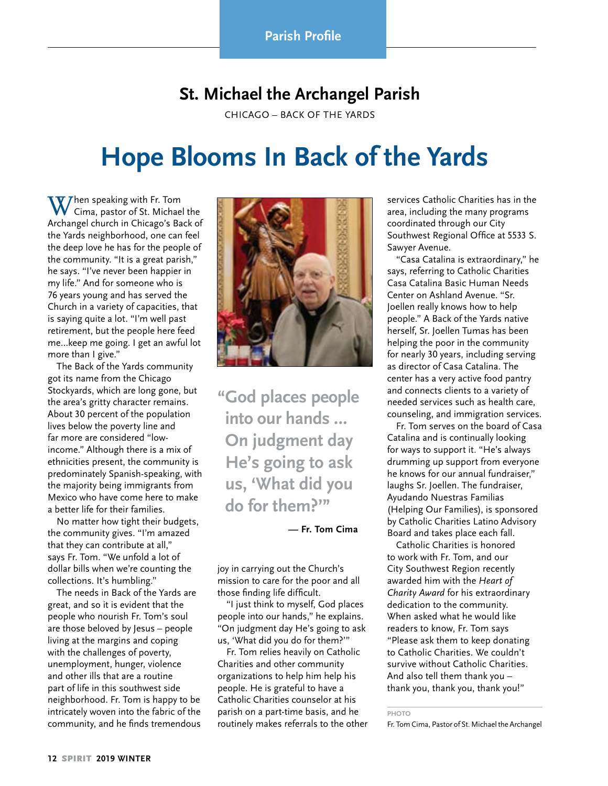# **St. Michael the Archangel Parish**

CHICAGO – BACK OF THE YARDS

# **Hope Blooms In Back of the Yards**

 $\left(\prod_{n=1}^{\infty}\right)^{n}$  and  $\left(\prod_{n=1}^{\infty}\right)^{n}$  and  $\left(\prod_{n=1}^{\infty}\right)^{n}$  $\sqrt{\phantom{a}}$  Cima, pastor of St. Michael the Archangel church in Chicago's Back of the Yards neighborhood, one can feel the deep love he has for the people of the community. "It is a great parish," he says. "I've never been happier in my life." And for someone who is 76 years young and has served the Church in a variety of capacities, that is saying quite a lot. "I'm well past retirement, but the people here feed me…keep me going. I get an awful lot more than I give."

The Back of the Yards community got its name from the Chicago Stockyards, which are long gone, but the area's gritty character remains. About 30 percent of the population lives below the poverty line and far more are considered "lowincome." Although there is a mix of ethnicities present, the community is predominately Spanish-speaking, with the majority being immigrants from Mexico who have come here to make a better life for their families.

No matter how tight their budgets, the community gives. "I'm amazed that they can contribute at all," says Fr. Tom. "We unfold a lot of dollar bills when we're counting the collections. It's humbling."

The needs in Back of the Yards are great, and so it is evident that the people who nourish Fr. Tom's soul are those beloved by Jesus – people living at the margins and coping with the challenges of poverty, unemployment, hunger, violence and other ills that are a routine part of life in this southwest side neighborhood. Fr. Tom is happy to be intricately woven into the fabric of the community, and he finds tremendous



**"God places people into our hands … On judgment day He's going to ask us, 'What did you do for them?'"** 

**— Fr. Tom Cima**

joy in carrying out the Church's mission to care for the poor and all those finding life difficult.

"I just think to myself, God places people into our hands," he explains. "On judgment day He's going to ask us, 'What did you do for them?'"

Fr. Tom relies heavily on Catholic Charities and other community organizations to help him help his people. He is grateful to have a Catholic Charities counselor at his parish on a part-time basis, and he routinely makes referrals to the other

services Catholic Charities has in the area, including the many programs coordinated through our City Southwest Regional Office at 5533 S. Sawyer Avenue.

"Casa Catalina is extraordinary," he says, referring to Catholic Charities Casa Catalina Basic Human Needs Center on Ashland Avenue. "Sr. Joellen really knows how to help people." A Back of the Yards native herself, Sr. Joellen Tumas has been helping the poor in the community for nearly 30 years, including serving as director of Casa Catalina. The center has a very active food pantry and connects clients to a variety of needed services such as health care, counseling, and immigration services.

Fr. Tom serves on the board of Casa Catalina and is continually looking for ways to support it. "He's always drumming up support from everyone he knows for our annual fundraiser," laughs Sr. Joellen. The fundraiser, Ayudando Nuestras Familias (Helping Our Families), is sponsored by Catholic Charities Latino Advisory Board and takes place each fall.

Catholic Charities is honored to work with Fr. Tom, and our City Southwest Region recently awarded him with the *Heart of Charity Award* for his extraordinary dedication to the community. When asked what he would like readers to know, Fr. Tom says "Please ask them to keep donating to Catholic Charities. We couldn't survive without Catholic Charities. And also tell them thank you – thank you, thank you, thank you!"

**PHOTO**

Fr. Tom Cima, Pastor of St. Michael the Archangel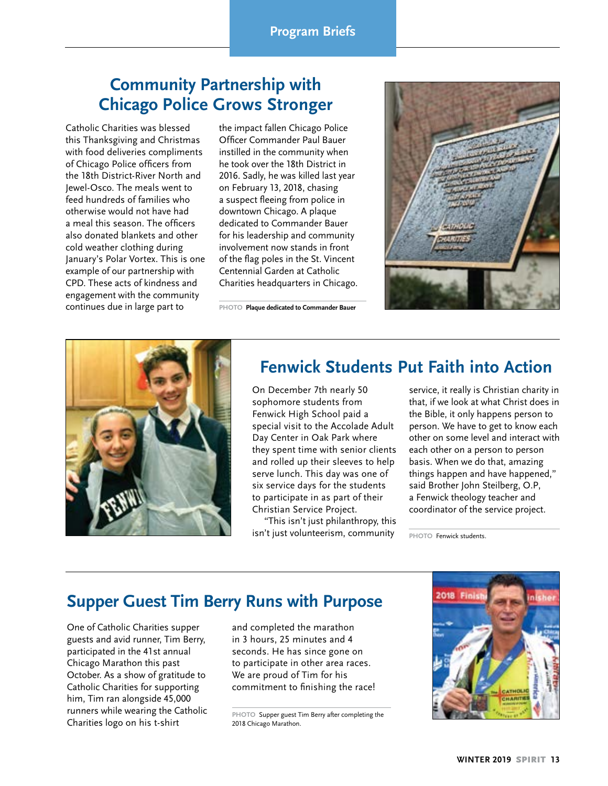# **Community Partnership with Chicago Police Grows Stronger**

Catholic Charities was blessed this Thanksgiving and Christmas with food deliveries compliments of Chicago Police officers from the 18th District-River North and Jewel-Osco. The meals went to feed hundreds of families who otherwise would not have had a meal this season. The officers also donated blankets and other cold weather clothing during January's Polar Vortex. This is one example of our partnership with CPD. These acts of kindness and engagement with the community continues due in large part to

the impact fallen Chicago Police Officer Commander Paul Bauer instilled in the community when he took over the 18th District in 2016. Sadly, he was killed last year on February 13, 2018, chasing a suspect fleeing from police in downtown Chicago. A plaque dedicated to Commander Bauer for his leadership and community involvement now stands in front of the flag poles in the St. Vincent Centennial Garden at Catholic Charities headquarters in Chicago.

**PHOTO Plaque dedicated to Commander Bauer** 





# **Fenwick Students Put Faith into Action**

On December 7th nearly 50 sophomore students from Fenwick High School paid a special visit to the Accolade Adult Day Center in Oak Park where they spent time with senior clients and rolled up their sleeves to help serve lunch. This day was one of six service days for the students to participate in as part of their Christian Service Project.

"This isn't just philanthropy, this isn't just volunteerism, community service, it really is Christian charity in that, if we look at what Christ does in the Bible, it only happens person to person. We have to get to know each other on some level and interact with each other on a person to person basis. When we do that, amazing things happen and have happened," said Brother John Steilberg, O.P, a Fenwick theology teacher and coordinator of the service project.

**PHOTO** Fenwick students.

## **Supper Guest Tim Berry Runs with Purpose**

One of Catholic Charities supper guests and avid runner, Tim Berry, participated in the 41st annual Chicago Marathon this past October. As a show of gratitude to Catholic Charities for supporting him, Tim ran alongside 45,000 runners while wearing the Catholic Charities logo on his t-shirt

and completed the marathon in 3 hours, 25 minutes and 4 seconds. He has since gone on to participate in other area races. We are proud of Tim for his commitment to finishing the race!

**PHOTO** Supper guest Tim Berry after completing the 2018 Chicago Marathon.

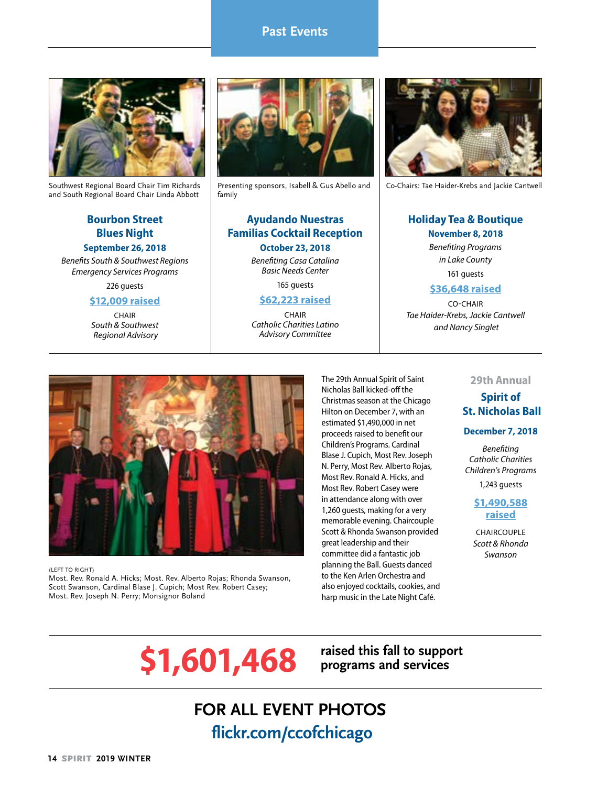#### **HEADER Past Events**



Southwest Regional Board Chair Tim Richards and South Regional Board Chair Linda Abbott

### **Bourbon Street Blues Night September 26, 2018**

*Benefits South & Southwest Regions Emergency Services Programs*

226 guests

### **\$12,009 raised**

**CHAIR** *South & Southwest Regional Advisory* 



Presenting sponsors, Isabell & Gus Abello and family

### **Ayudando Nuestras Familias Cocktail Reception October 23, 2018**

*Benefiting Casa Catalina Basic Needs Center*

165 guests

### **\$62,223 raised**

CHAIR *Catholic Charities Latino Advisory Committee*



Co-Chairs: Tae Haider-Krebs and Jackie Cantwell

# **Holiday Tea & Boutique**

**November 8, 2018** *Benefiting Programs in Lake County* 161 guests

### **\$36,648 raised**

CO-CHAIR *Tae Haider-Krebs, Jackie Cantwell and Nancy Singlet*



(LEFT TO RIGHT) Most. Rev. Ronald A. Hicks; Most. Rev. Alberto Rojas; Rhonda Swanson, Scott Swanson, Cardinal Blase J. Cupich; Most Rev. Robert Casey; Most. Rev. Joseph N. Perry; Monsignor Boland

The 29th Annual Spirit of Saint Nicholas Ball kicked-off the Christmas season at the Chicago Hilton on December 7, with an estimated \$1,490,000 in net proceeds raised to benefit our Children's Programs. Cardinal Blase J. Cupich, Most Rev. Joseph N. Perry, Most Rev. Alberto Rojas, Most Rev. Ronald A. Hicks, and Most Rev. Robert Casey were in attendance along with over 1,260 guests, making for a very memorable evening. Chaircouple Scott & Rhonda Swanson provided great leadership and their committee did a fantastic job planning the Ball. Guests danced to the Ken Arlen Orchestra and also enjoyed cocktails, cookies, and harp music in the Late Night Café.

#### **29th Annual**

## **Spirit of St. Nicholas Ball**

#### **December 7, 2018**

*Benefiting Catholic Charities Children's Programs*

1,243 guests

### **\$1,490,588 raised**

CHAIRCOUPLE *Scott & Rhonda Swanson*

# \$1,601,468 raised this fall to support

**programs and services** 

# **FOR ALL EVENT PHOTOS flickr.com/ccofchicago**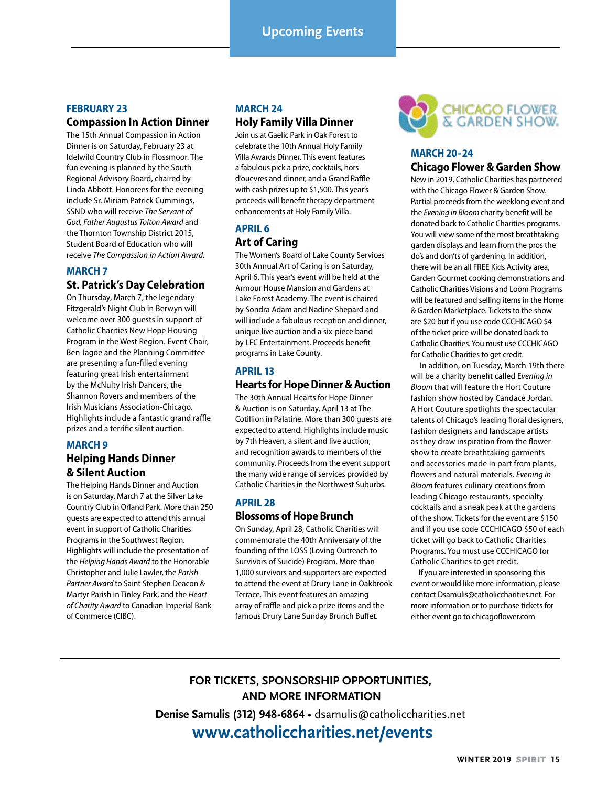# **Upcoming Events**

### **FEBRUARY 23**

### **Compassion In Action Dinner**

The 15th Annual Compassion in Action Dinner is on Saturday, February 23 at Idelwild Country Club in Flossmoor. The fun evening is planned by the South Regional Advisory Board, chaired by Linda Abbott. Honorees for the evening include Sr. Miriam Patrick Cummings, SSND who will receive *The Servant of God, Father Augustus Tolton Award* and the Thornton Township District 2015, Student Board of Education who will receive *The Compassion in Action Award.*

#### **MARCH 7**

### **St. Patrick's Day Celebration**

On Thursday, March 7, the legendary Fitzgerald's Night Club in Berwyn will welcome over 300 guests in support of Catholic Charities New Hope Housing Program in the West Region. Event Chair, Ben Jagoe and the Planning Committee are presenting a fun-filled evening featuring great Irish entertainment by the McNulty Irish Dancers, the Shannon Rovers and members of the Irish Musicians Association-Chicago. Highlights include a fantastic grand raffle prizes and a terrific silent auction.

#### **MARCH 9**

### **Helping Hands Dinner & Silent Auction**

The Helping Hands Dinner and Auction is on Saturday, March 7 at the Silver Lake Country Club in Orland Park. More than 250 guests are expected to attend this annual event in support of Catholic Charities Programs in the Southwest Region. Highlights will include the presentation of the *Helping Hands Award* to the Honorable Christopher and Julie Lawler, the *Parish Partner Award* to Saint Stephen Deacon & Martyr Parish in Tinley Park, and the *Heart of Charity Award* to Canadian Imperial Bank of Commerce (CIBC).

#### **MARCH 24**

### **Holy Family Villa Dinner**

Join us at Gaelic Park in Oak Forest to celebrate the 10th Annual Holy Family Villa Awards Dinner. This event features a fabulous pick a prize, cocktails, hors d'ouevres and dinner, and a Grand Raffle with cash prizes up to \$1,500. This year's proceeds will benefit therapy department enhancements at Holy Family Villa.

### **APRIL 6 Art of Caring**

The Women's Board of Lake County Services 30th Annual Art of Caring is on Saturday, April 6. This year's event will be held at the Armour House Mansion and Gardens at Lake Forest Academy. The event is chaired by Sondra Adam and Nadine Shepard and will include a fabulous reception and dinner, unique live auction and a six-piece band by LFC Entertainment. Proceeds benefit programs in Lake County.

### **APRIL 13**

### **Hearts for Hope Dinner & Auction**

The 30th Annual Hearts for Hope Dinner & Auction is on Saturday, April 13 at The Cotillion in Palatine. More than 300 guests are expected to attend. Highlights include music by 7th Heaven, a silent and live auction, and recognition awards to members of the community. Proceeds from the event support the many wide range of services provided by Catholic Charities in the Northwest Suburbs.

#### **APRIL 28**

### **Blossoms of Hope Brunch**

On Sunday, April 28, Catholic Charities will commemorate the 40th Anniversary of the founding of the LOSS (Loving Outreach to Survivors of Suicide) Program. More than 1,000 survivors and supporters are expected to attend the event at Drury Lane in Oakbrook Terrace. This event features an amazing array of raffle and pick a prize items and the famous Drury Lane Sunday Brunch Buffet.



### **MARCH 20-24 Chicago Flower & Garden Show**

New in 2019, Catholic Charities has partnered with the Chicago Flower & Garden Show. Partial proceeds from the weeklong event and the *Evening in Bloom* charity benefit will be donated back to Catholic Charities programs. You will view some of the most breathtaking garden displays and learn from the pros the do's and don'ts of gardening. In addition, there will be an all FREE Kids Activity area, Garden Gourmet cooking demonstrations and Catholic Charities Visions and Loom Programs will be featured and selling items in the Home & Garden Marketplace. Tickets to the show are \$20 but if you use code CCCHICAGO \$4 of the ticket price will be donated back to Catholic Charities. You must use CCCHICAGO for Catholic Charities to get credit.

In addition, on Tuesday, March 19th there will be a charity benefit called E*vening in Bloom* that will feature the Hort Couture fashion show hosted by Candace Jordan. A Hort Couture spotlights the spectacular talents of Chicago's leading floral designers, fashion designers and landscape artists as they draw inspiration from the flower show to create breathtaking garments and accessories made in part from plants, flowers and natural materials. *Evening in Bloom* features culinary creations from leading Chicago restaurants, specialty cocktails and a sneak peak at the gardens of the show. Tickets for the event are \$150 and if you use code CCCHICAGO \$50 of each ticket will go back to Catholic Charities Programs. You must use CCCHICAGO for Catholic Charities to get credit.

 If you are interested in sponsoring this event or would like more information, please contact Dsamulis@catholiccharities.net. For more information or to purchase tickets for either event go to chicagoflower.com

## **FOR TICKETS, SPONSORSHIP OPPORTUNITIES, AND MORE INFORMATION Denise Samulis (312) 948-6864** • dsamulis@catholiccharities.net  **www.catholiccharities.net/events**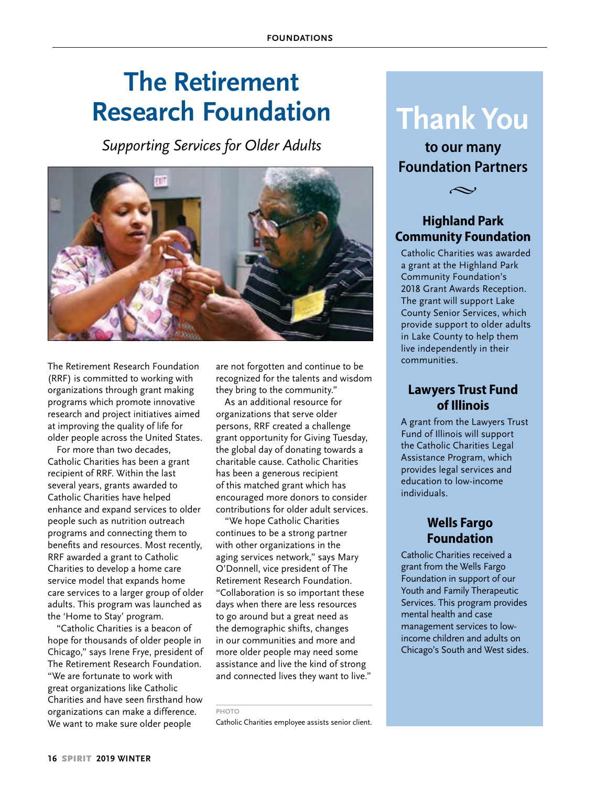# **The Retirement Research Foundation**

*Supporting Services for Older Adults*



The Retirement Research Foundation (RRF) is committed to working with organizations through grant making programs which promote innovative research and project initiatives aimed at improving the quality of life for older people across the United States.

For more than two decades, Catholic Charities has been a grant recipient of RRF. Within the last several years, grants awarded to Catholic Charities have helped enhance and expand services to older people such as nutrition outreach programs and connecting them to benefits and resources. Most recently, RRF awarded a grant to Catholic Charities to develop a home care service model that expands home care services to a larger group of older adults. This program was launched as the 'Home to Stay' program.

"Catholic Charities is a beacon of hope for thousands of older people in Chicago," says Irene Frye, president of The Retirement Research Foundation. "We are fortunate to work with great organizations like Catholic Charities and have seen firsthand how organizations can make a difference. We want to make sure older people

are not forgotten and continue to be recognized for the talents and wisdom they bring to the community."

As an additional resource for organizations that serve older persons, RRF created a challenge grant opportunity for Giving Tuesday, the global day of donating towards a charitable cause. Catholic Charities has been a generous recipient of this matched grant which has encouraged more donors to consider contributions for older adult services.

"We hope Catholic Charities continues to be a strong partner with other organizations in the aging services network," says Mary O'Donnell, vice president of The Retirement Research Foundation. "Collaboration is so important these days when there are less resources to go around but a great need as the demographic shifts, changes in our communities and more and more older people may need some assistance and live the kind of strong and connected lives they want to live."

**PHOTO** 

Catholic Charities employee assists senior client.

# **Thank You**

**to our many Foundation Partners**



## **Highland Park Community Foundation**

Catholic Charities was awarded a grant at the Highland Park Community Foundation's 2018 Grant Awards Reception. The grant will support Lake County Senior Services, which provide support to older adults in Lake County to help them live independently in their communities.

## **Lawyers Trust Fund of Illinois**

A grant from the Lawyers Trust Fund of Illinois will support the Catholic Charities Legal Assistance Program, which provides legal services and education to low-income individuals.

## **Wells Fargo Foundation**

Catholic Charities received a grant from the Wells Fargo Foundation in support of our Youth and Family Therapeutic Services. This program provides mental health and case management services to lowincome children and adults on Chicago's South and West sides.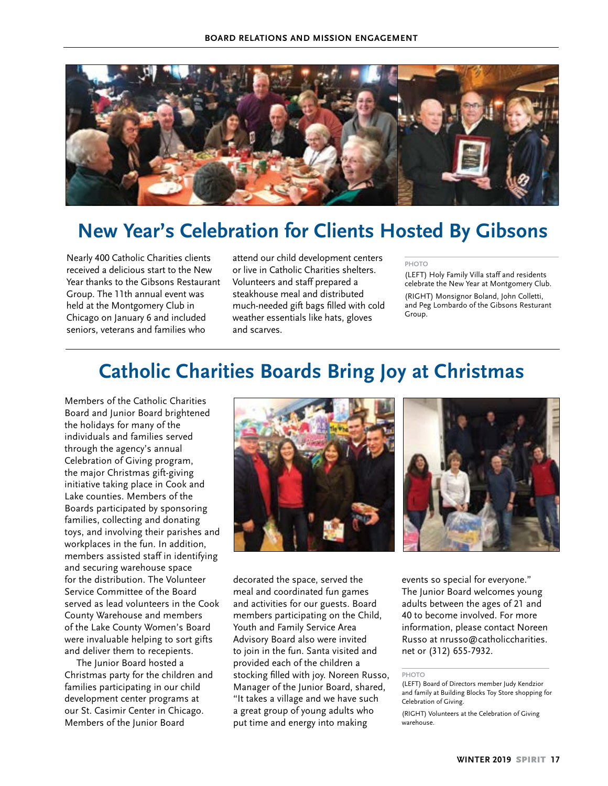

# **New Year's Celebration for Clients Hosted By Gibsons**

Nearly 400 Catholic Charities clients received a delicious start to the New Year thanks to the Gibsons Restaurant Group. The 11th annual event was held at the Montgomery Club in Chicago on January 6 and included seniors, veterans and families who

attend our child development centers or live in Catholic Charities shelters. Volunteers and staff prepared a steakhouse meal and distributed much-needed gift bags filled with cold weather essentials like hats, gloves and scarves.

#### **PHOTO**

(LEFT) Holy Family Villa staff and residents celebrate the New Year at Montgomery Club.

(RIGHT) Monsignor Boland, John Colletti, and Peg Lombardo of the Gibsons Resturant Group.

# **Catholic Charities Boards Bring Joy at Christmas**

Members of the Catholic Charities Board and Junior Board brightened the holidays for many of the individuals and families served through the agency's annual Celebration of Giving program, the major Christmas gift-giving initiative taking place in Cook and Lake counties. Members of the Boards participated by sponsoring families, collecting and donating toys, and involving their parishes and workplaces in the fun. In addition, members assisted staff in identifying and securing warehouse space for the distribution. The Volunteer Service Committee of the Board served as lead volunteers in the Cook County Warehouse and members of the Lake County Women's Board were invaluable helping to sort gifts and deliver them to recepients.

The Junior Board hosted a Christmas party for the children and families participating in our child development center programs at our St. Casimir Center in Chicago. Members of the Junior Board





decorated the space, served the meal and coordinated fun games and activities for our guests. Board members participating on the Child, Youth and Family Service Area Advisory Board also were invited to join in the fun. Santa visited and provided each of the children a stocking filled with joy. Noreen Russo, Manager of the Junior Board, shared, "It takes a village and we have such a great group of young adults who put time and energy into making

events so special for everyone." The Junior Board welcomes young adults between the ages of 21 and 40 to become involved. For more information, please contact Noreen Russo at nrusso@catholiccharities. net or (312) 655-7932.

**PHOTO**

<sup>(</sup>LEFT) Board of Directors member Judy Kendzior and family at Building Blocks Toy Store shopping for Celebration of Giving.

<sup>(</sup>RIGHT) Volunteers at the Celebration of Giving warehouse.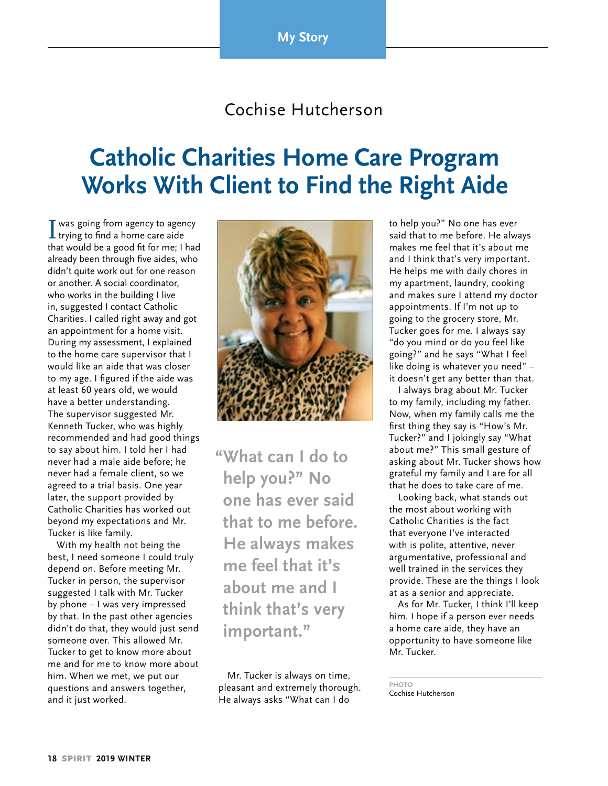**My Story** 

# Cochise Hutcherson

# **Catholic Charities Home Care Program Works With Client to Find the Right Aide**

I was going from agency to agency<br>trying to find a home care aide that would be a good fit for me; I had already been through five aides, who didn't quite work out for one reason or another. A social coordinator, who works in the building I live in, suggested I contact Catholic Charities. I called right away and got an appointment for a home visit. During my assessment, I explained to the home care supervisor that I would like an aide that was closer to my age. I figured if the aide was at least 60 years old, we would have a better understanding. The supervisor suggested Mr. Kenneth Tucker, who was highly recommended and had good things to say about him. I told her I had never had a male aide before; he never had a female client, so we agreed to a trial basis. One year later, the support provided by Catholic Charities has worked out beyond my expectations and Mr. Tucker is like family.

With my health not being the best, I need someone I could truly depend on. Before meeting Mr. Tucker in person, the supervisor suggested I talk with Mr. Tucker by phone – I was very impressed by that. In the past other agencies didn't do that, they would just send someone over. This allowed Mr. Tucker to get to know more about me and for me to know more about him. When we met, we put our questions and answers together, and it just worked.



**"What can I do to help you?" No one has ever said that to me before. He always makes me feel that it's about me and I think that's very important."**

Mr. Tucker is always on time, pleasant and extremely thorough. He always asks "What can I do

to help you?" No one has ever said that to me before. He always makes me feel that it's about me and I think that's very important. He helps me with daily chores in my apartment, laundry, cooking and makes sure I attend my doctor appointments. If I'm not up to going to the grocery store, Mr. Tucker goes for me. I always say "do you mind or do you feel like going?" and he says "What I feel like doing is whatever you need" – it doesn't get any better than that.

I always brag about Mr. Tucker to my family, including my father. Now, when my family calls me the first thing they say is "How's Mr. Tucker?" and I jokingly say "What about me?" This small gesture of asking about Mr. Tucker shows how grateful my family and I are for all that he does to take care of me.

Looking back, what stands out the most about working with Catholic Charities is the fact that everyone I've interacted with is polite, attentive, never argumentative, professional and well trained in the services they provide. These are the things I look at as a senior and appreciate.

As for Mr. Tucker, I think I'll keep him. I hope if a person ever needs a home care aide, they have an opportunity to have someone like Mr. Tucker.

**PHOTO** Cochise Hutcherson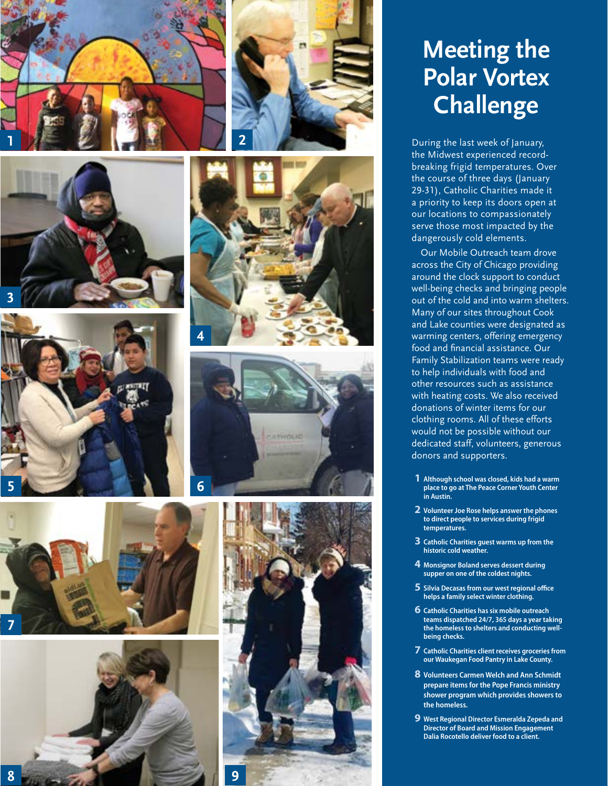

















# **Meeting the Polar Vortex Challenge**

During the last week of January, the Midwest experienced recordbreaking frigid temperatures. Over the course of three days (January 29-31), Catholic Charities made it a priority to keep its doors open at our locations to compassionately serve those most impacted by the dangerously cold elements.

Our Mobile Outreach team drove across the City of Chicago providing around the clock support to conduct well-being checks and bringing people out of the cold and into warm shelters. Many of our sites throughout Cook and Lake counties were designated as warming centers, offering emergency food and financial assistance. Our Family Stabilization teams were ready to help individuals with food and other resources such as assistance with heating costs. We also received donations of winter items for our clothing rooms. All of these efforts would not be possible without our dedicated staff, volunteers, generous donors and supporters.

- **1 Although school was closed, kids had a warm place to go at The Peace Corner Youth Center in Austin.**
- **2 Volunteer Joe Rose helps answer the phones to direct people to services during frigid temperatures.**
- **3 Catholic Charities guest warms up from the historic cold weather.**
- **4 Monsignor Boland serves dessert during supper on one of the coldest nights.**
- **5 Silvia Decasas from our west regional office helps a family select winter clothing.**
- **6 Catholic Charities has six mobile outreach teams dispatched 24/7, 365 days a year taking the homeless to shelters and conducting wellbeing checks.**
- **7 Catholic Charities client receives groceries from our Waukegan Food Pantry in Lake County.**
- **8 Volunteers Carmen Welch and Ann Schmidt prepare items for the Pope Francis ministry shower program which provides showers to the homeless.**
- **9 West Regional Director Esmeralda Zepeda and Director of Board and Mission Engagement Dalia Rocotello deliver food to a client.**